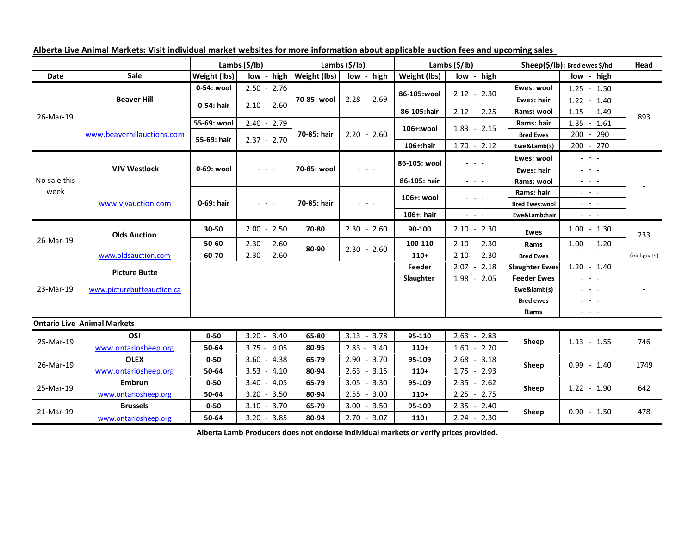| Alberta Live Animal Markets: Visit individual market websites for more information about applicable auction fees and upcoming sales |                            |               |                                                                                                                           |                                           |               |               |                                                                                                                           |                               |                                                                                                                                                                                                                                                                                                                                                                                                                                                |              |
|-------------------------------------------------------------------------------------------------------------------------------------|----------------------------|---------------|---------------------------------------------------------------------------------------------------------------------------|-------------------------------------------|---------------|---------------|---------------------------------------------------------------------------------------------------------------------------|-------------------------------|------------------------------------------------------------------------------------------------------------------------------------------------------------------------------------------------------------------------------------------------------------------------------------------------------------------------------------------------------------------------------------------------------------------------------------------------|--------------|
|                                                                                                                                     |                            | Lambs (\$/lb) |                                                                                                                           | Lambs (\$/lb)                             |               | Lambs (\$/lb) |                                                                                                                           | Sheep(\$/lb): Bred ewes \$/hd |                                                                                                                                                                                                                                                                                                                                                                                                                                                | Head         |
| Date                                                                                                                                | <b>Sale</b>                | Weight (lbs)  |                                                                                                                           | $low - high$   Weight (lbs)<br>low - high |               | Weight (lbs)  | low - high                                                                                                                |                               | low - high                                                                                                                                                                                                                                                                                                                                                                                                                                     |              |
| 26-Mar-19                                                                                                                           | <b>Beaver Hill</b>         | 0-54: wool    | $2.50 - 2.76$                                                                                                             | 70-85: wool                               | $2.28 - 2.69$ | 86-105:wool   | $2.12 - 2.30$                                                                                                             | Ewes: wool                    | $1.25 - 1.50$                                                                                                                                                                                                                                                                                                                                                                                                                                  | 893          |
|                                                                                                                                     |                            | 0-54: hair    | $2.10 - 2.60$                                                                                                             |                                           |               |               |                                                                                                                           | Ewes: hair                    | $1.22 - 1.40$                                                                                                                                                                                                                                                                                                                                                                                                                                  |              |
|                                                                                                                                     |                            |               |                                                                                                                           |                                           |               | 86-105:hair   | $2.12 - 2.25$                                                                                                             | Rams: wool                    | $1.15 - 1.49$                                                                                                                                                                                                                                                                                                                                                                                                                                  |              |
|                                                                                                                                     | www.beaverhillauctions.com | 55-69: wool   | $2.40 - 2.79$                                                                                                             | 70-85: hair                               | $2.20 - 2.60$ | 106+:wool     | $1.83 - 2.15$                                                                                                             | Rams: hair                    | $1.35 - 1.61$                                                                                                                                                                                                                                                                                                                                                                                                                                  |              |
|                                                                                                                                     |                            | 55-69: hair   | $2.37 - 2.70$                                                                                                             |                                           |               |               |                                                                                                                           | <b>Bred Ewes</b>              | 200 - 290                                                                                                                                                                                                                                                                                                                                                                                                                                      |              |
|                                                                                                                                     |                            |               |                                                                                                                           |                                           |               | $106 +:$ hair | $1.70 - 2.12$                                                                                                             | Ewe&Lamb(s)                   | 200 - 270                                                                                                                                                                                                                                                                                                                                                                                                                                      |              |
| No sale this<br>week                                                                                                                | <b>VJV Westlock</b>        | 0-69: wool    | $\frac{1}{2} \left( \frac{1}{2} \right) \left( \frac{1}{2} \right) \left( \frac{1}{2} \right) \left( \frac{1}{2} \right)$ | 70-85: wool                               | $  -$         | 86-105: wool  | $  -$                                                                                                                     | Ewes: wool                    | $\frac{1}{2} \left( \frac{1}{2} \right) = \frac{1}{2} \left( \frac{1}{2} \right)$                                                                                                                                                                                                                                                                                                                                                              |              |
|                                                                                                                                     |                            |               |                                                                                                                           |                                           |               |               |                                                                                                                           | <b>Ewes: hair</b>             | $\frac{1}{2} \left( \frac{1}{2} \right) = \frac{1}{2} \left( \frac{1}{2} \right)$                                                                                                                                                                                                                                                                                                                                                              |              |
|                                                                                                                                     |                            |               |                                                                                                                           |                                           |               | 86-105: hair  | $\frac{1}{2} \left( \frac{1}{2} \right) = \frac{1}{2} \left( \frac{1}{2} \right)$                                         | Rams: wool                    | $  -$                                                                                                                                                                                                                                                                                                                                                                                                                                          |              |
|                                                                                                                                     | www.vjvauction.com         | 0-69: hair    | $\frac{1}{2} \left( \frac{1}{2} \right) = \frac{1}{2} \left( \frac{1}{2} \right)$                                         | 70-85: hair                               | $  -$         | 106+: wool    | $  -$                                                                                                                     | Rams: hair                    | $  -$                                                                                                                                                                                                                                                                                                                                                                                                                                          |              |
|                                                                                                                                     |                            |               |                                                                                                                           |                                           |               |               |                                                                                                                           | <b>Bred Ewes:wool</b>         | $\frac{1}{2} \left( \frac{1}{2} \right) = \frac{1}{2} \left( \frac{1}{2} \right)$                                                                                                                                                                                                                                                                                                                                                              |              |
|                                                                                                                                     |                            |               |                                                                                                                           |                                           |               | 106+: hair    | $\frac{1}{2} \left( \frac{1}{2} \right) \left( \frac{1}{2} \right) \left( \frac{1}{2} \right) \left( \frac{1}{2} \right)$ | Ewe&Lamb:hair                 | $\frac{1}{2} \left( \frac{1}{2} \right) \left( \frac{1}{2} \right) \left( \frac{1}{2} \right) \left( \frac{1}{2} \right)$                                                                                                                                                                                                                                                                                                                      |              |
| 26-Mar-19                                                                                                                           | <b>Olds Auction</b>        | 30-50         | $2.00 - 2.50$                                                                                                             | 70-80                                     | $2.30 - 2.60$ | 90-100        | $2.10 - 2.30$                                                                                                             | <b>Ewes</b>                   | $1.00 - 1.30$                                                                                                                                                                                                                                                                                                                                                                                                                                  | 233          |
|                                                                                                                                     |                            | 50-60         | $2.30 - 2.60$                                                                                                             | 80-90                                     | $2.30 - 2.60$ | 100-110       | $2.10 - 2.30$                                                                                                             | Rams                          | $1.00 - 1.20$                                                                                                                                                                                                                                                                                                                                                                                                                                  |              |
|                                                                                                                                     | www.oldsauction.com        | 60-70         | $2.30 - 2.60$                                                                                                             |                                           |               | $110+$        | 2.10<br>$-2.30$                                                                                                           | <b>Bred Ewes</b>              | $  -$                                                                                                                                                                                                                                                                                                                                                                                                                                          | (incl.goats) |
| 23-Mar-19                                                                                                                           | <b>Picture Butte</b>       |               |                                                                                                                           |                                           |               | Feeder        | $2.07 - 2.18$                                                                                                             | <b>Slaughter Ewes</b>         | $1.20 - 1.40$                                                                                                                                                                                                                                                                                                                                                                                                                                  |              |
|                                                                                                                                     | www.picturebutteauction.ca |               |                                                                                                                           |                                           |               | Slaughter     | $1.98 - 2.05$                                                                                                             | <b>Feeder Ewes</b>            | $\omega_{\rm{eff}}$ and $\omega_{\rm{eff}}$                                                                                                                                                                                                                                                                                                                                                                                                    |              |
|                                                                                                                                     |                            |               |                                                                                                                           |                                           |               |               |                                                                                                                           | Ewe&lamb(s)                   | $\frac{1}{2} \left( \frac{1}{2} \right) \left( \frac{1}{2} \right) \left( \frac{1}{2} \right) \left( \frac{1}{2} \right)$                                                                                                                                                                                                                                                                                                                      |              |
|                                                                                                                                     |                            |               |                                                                                                                           |                                           |               |               |                                                                                                                           | <b>Bred ewes</b>              | $\frac{1}{2} \left( \frac{1}{2} \right) \frac{1}{2} \left( \frac{1}{2} \right) \frac{1}{2} \left( \frac{1}{2} \right) \frac{1}{2} \left( \frac{1}{2} \right) \frac{1}{2} \left( \frac{1}{2} \right) \frac{1}{2} \left( \frac{1}{2} \right) \frac{1}{2} \left( \frac{1}{2} \right) \frac{1}{2} \left( \frac{1}{2} \right) \frac{1}{2} \left( \frac{1}{2} \right) \frac{1}{2} \left( \frac{1}{2} \right) \frac{1}{2} \left( \frac{1}{2} \right)$ |              |
|                                                                                                                                     |                            |               |                                                                                                                           |                                           |               |               |                                                                                                                           | Rams                          | $\frac{1}{2} \left( \frac{1}{2} \right) \frac{1}{2} \left( \frac{1}{2} \right) \frac{1}{2} \left( \frac{1}{2} \right)$                                                                                                                                                                                                                                                                                                                         |              |
| <b>Ontario Live Animal Markets</b>                                                                                                  |                            |               |                                                                                                                           |                                           |               |               |                                                                                                                           |                               |                                                                                                                                                                                                                                                                                                                                                                                                                                                |              |
| 25-Mar-19                                                                                                                           | OSI                        | $0 - 50$      | $3.20 - 3.40$                                                                                                             | 65-80                                     | $3.13 - 3.78$ | 95-110        | $2.63 - 2.83$                                                                                                             | Sheep                         | $1.13 - 1.55$                                                                                                                                                                                                                                                                                                                                                                                                                                  | 746          |
|                                                                                                                                     | www.ontariosheep.org       | 50-64         | $3.75 - 4.05$                                                                                                             | 80-95                                     | $2.83 - 3.40$ | $110+$        | 1.60<br>$-2.20$                                                                                                           |                               |                                                                                                                                                                                                                                                                                                                                                                                                                                                |              |
| 26-Mar-19                                                                                                                           | <b>OLEX</b>                | $0 - 50$      | $3.60 - 4.38$                                                                                                             | 65-79                                     | $2.90 - 3.70$ | 95-109        | 2.68<br>$-3.18$                                                                                                           | Sheep                         | $0.99 - 1.40$                                                                                                                                                                                                                                                                                                                                                                                                                                  | 1749         |
|                                                                                                                                     | www.ontariosheep.org       | 50-64         | $3.53 - 4.10$                                                                                                             | 80-94                                     | $2.63 - 3.15$ | $110+$        | 1.75<br>$-2.93$                                                                                                           |                               |                                                                                                                                                                                                                                                                                                                                                                                                                                                |              |
| 25-Mar-19                                                                                                                           | Embrun                     | $0 - 50$      | $3.40 - 4.05$                                                                                                             | 65-79                                     | $3.05 - 3.30$ | 95-109        | $2.35 - 2.62$                                                                                                             | Sheep                         | $1.22 - 1.90$                                                                                                                                                                                                                                                                                                                                                                                                                                  | 642          |
|                                                                                                                                     | www.ontariosheep.org       | 50-64         | $3.20 - 3.50$                                                                                                             | 80-94                                     | $2.55 - 3.00$ | $110+$        | 2.25<br>$-2.75$                                                                                                           |                               |                                                                                                                                                                                                                                                                                                                                                                                                                                                |              |
| 21-Mar-19                                                                                                                           | <b>Brussels</b>            | $0 - 50$      | $3.10 - 3.70$                                                                                                             | 65-79                                     | $3.00 - 3.50$ | 95-109        | 2.35<br>$-2.40$                                                                                                           | Sheep                         | $0.90 - 1.50$                                                                                                                                                                                                                                                                                                                                                                                                                                  | 478          |
|                                                                                                                                     | www.ontariosheep.org       | 50-64         | $3.20 - 3.85$                                                                                                             | 80-94                                     | $2.70 - 3.07$ | $110+$        | $2.24 - 2.30$                                                                                                             |                               |                                                                                                                                                                                                                                                                                                                                                                                                                                                |              |
| Alberta Lamb Producers does not endorse individual markets or verify prices provided.                                               |                            |               |                                                                                                                           |                                           |               |               |                                                                                                                           |                               |                                                                                                                                                                                                                                                                                                                                                                                                                                                |              |